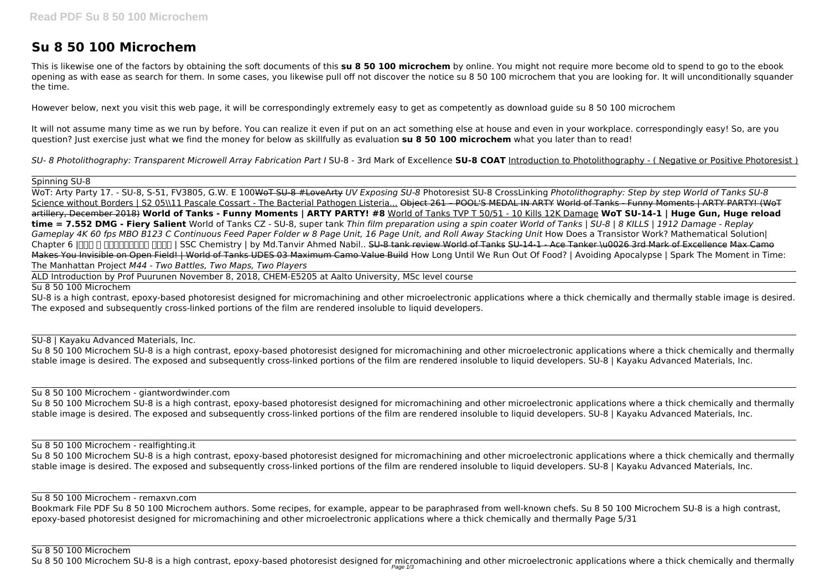# **Su 8 50 100 Microchem**

This is likewise one of the factors by obtaining the soft documents of this **su 8 50 100 microchem** by online. You might not require more become old to spend to go to the ebook opening as with ease as search for them. In some cases, you likewise pull off not discover the notice su 8 50 100 microchem that you are looking for. It will unconditionally squander the time.

However below, next you visit this web page, it will be correspondingly extremely easy to get as competently as download guide su 8 50 100 microchem

It will not assume many time as we run by before. You can realize it even if put on an act something else at house and even in your workplace. correspondingly easy! So, are you question? Just exercise just what we find the money for below as skillfully as evaluation **su 8 50 100 microchem** what you later than to read!

*SU- 8 Photolithography: Transparent Microwell Array Fabrication Part I* SU-8 - 3rd Mark of Excellence **SU-8 COAT** Introduction to Photolithography - ( Negative or Positive Photoresist )

Spinning SU-8

Su 8 50 100 Microchem SU-8 is a high contrast, epoxy-based photoresist designed for micromachining and other microelectronic applications where a thick chemically and thermally stable image is desired. The exposed and subsequently cross-linked portions of the film are rendered insoluble to liquid developers. SU-8 | Kayaku Advanced Materials, Inc.

WoT: Arty Party 17. - SU-8, S-51, FV3805, G.W. E 100WoT SU-8 #LoveArty *UV Exposing SU-8* Photoresist SU-8 CrossLinking *Photolithography: Step by step World of Tanks SU-8* Science without Borders | S2 05\\11 Pascale Cossart - The Bacterial Pathogen Listeria... Object 261 - POOL'S MEDAL IN ARTY World of Tanks - Funny Moments | ARTY PARTY! (WoT artillery, December 2018) **World of Tanks - Funny Moments | ARTY PARTY! #8** World of Tanks TVP T 50/51 - 10 Kills 12K Damage **WoT SU-14-1 | Huge Gun, Huge reload time = 7.552 DMG - Fiery Salient** World of Tanks CZ - SU-8, super tank *Thin film preparation using a spin coater World of Tanks | SU-8 | 8 KILLS | 1912 Damage - Replay Gameplay 4K 60 fps MBO B123 C Continuous Feed Paper Folder w 8 Page Unit, 16 Page Unit, and Roll Away Stacking Unit* How Does a Transistor Work? Mathematical Solution| Chapter 6 |মোল ও রাসায়নিক গণনা | SSC Chemistry | by Md.Tanvir Ahmed Nabil.. SU-8 tank review World of Tanks SU-14-1 - Ace Tanker \u0026 3rd Mark of Excellence Max Camo Makes You Invisible on Open Field! | World of Tanks UDES 03 Maximum Camo Value Build How Long Until We Run Out Of Food? | Avoiding Apocalypse | Spark The Moment in Time: The Manhattan Project *M44 - Two Battles, Two Maps, Two Players*

Su 8 50 100 Microchem SU-8 is a high contrast, epoxy-based photoresist designed for micromachining and other microelectronic applications where a thick chemically and thermally stable image is desired. The exposed and subsequently cross-linked portions of the film are rendered insoluble to liquid developers. SU-8 | Kayaku Advanced Materials, Inc.

ALD Introduction by Prof Puurunen November 8, 2018, CHEM-E5205 at Aalto University, MSc level course

Su 8 50 100 Microchem

SU-8 is a high contrast, epoxy-based photoresist designed for micromachining and other microelectronic applications where a thick chemically and thermally stable image is desired. The exposed and subsequently cross-linked portions of the film are rendered insoluble to liquid developers.

SU-8 | Kayaku Advanced Materials, Inc.

Su 8 50 100 Microchem - giantwordwinder.com

Su 8 50 100 Microchem - realfighting.it

Su 8 50 100 Microchem SU-8 is a high contrast, epoxy-based photoresist designed for micromachining and other microelectronic applications where a thick chemically and thermally stable image is desired. The exposed and subsequently cross-linked portions of the film are rendered insoluble to liquid developers. SU-8 | Kayaku Advanced Materials, Inc.

Su 8 50 100 Microchem - remaxvn.com

Bookmark File PDF Su 8 50 100 Microchem authors. Some recipes, for example, appear to be paraphrased from well-known chefs. Su 8 50 100 Microchem SU-8 is a high contrast, epoxy-based photoresist designed for micromachining and other microelectronic applications where a thick chemically and thermally Page 5/31

Su 8 50 100 Microchem SU-8 is a high contrast, epoxy-based photoresist designed for micromachining and other microelectronic applications where a thick chemically and thermally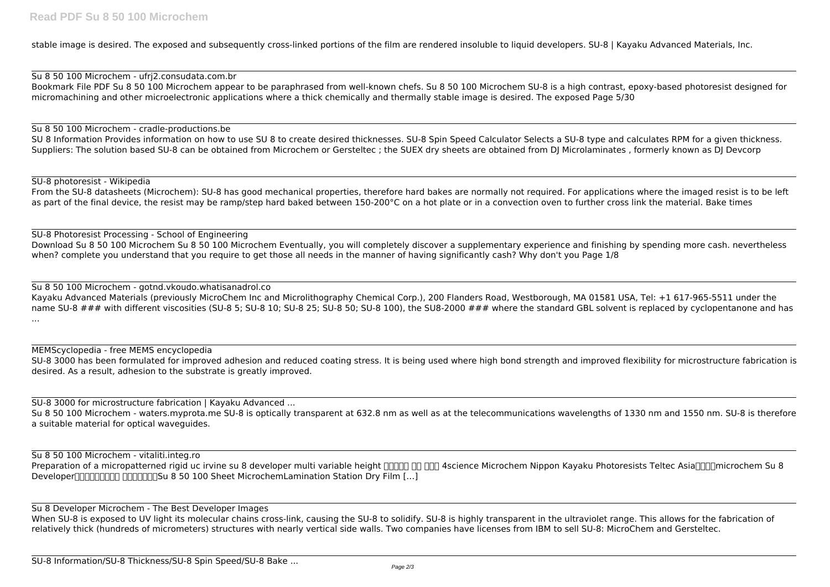stable image is desired. The exposed and subsequently cross-linked portions of the film are rendered insoluble to liquid developers. SU-8 | Kayaku Advanced Materials, Inc.

SU 8 Information Provides information on how to use SU 8 to create desired thicknesses. SU-8 Spin Speed Calculator Selects a SU-8 type and calculates RPM for a given thickness. Suppliers: The solution based SU-8 can be obtained from Microchem or Gersteltec ; the SUEX dry sheets are obtained from DJ Microlaminates, formerly known as DJ Devcorp

Su 8 50 100 Microchem - ufrj2.consudata.com.br Bookmark File PDF Su 8 50 100 Microchem appear to be paraphrased from well-known chefs. Su 8 50 100 Microchem SU-8 is a high contrast, epoxy-based photoresist designed for micromachining and other microelectronic applications where a thick chemically and thermally stable image is desired. The exposed Page 5/30

From the SU-8 datasheets (Microchem): SU-8 has good mechanical properties, therefore hard bakes are normally not required. For applications where the imaged resist is to be left as part of the final device, the resist may be ramp/step hard baked between 150-200°C on a hot plate or in a convection oven to further cross link the material. Bake times

### Su 8 50 100 Microchem - cradle-productions.be

SU-8 Photoresist Processing - School of Engineering Download Su 8 50 100 Microchem Su 8 50 100 Microchem Eventually, you will completely discover a supplementary experience and finishing by spending more cash. nevertheless when? complete you understand that you require to get those all needs in the manner of having significantly cash? Why don't you Page 1/8

SU-8 photoresist - Wikipedia

SU-8 3000 has been formulated for improved adhesion and reduced coating stress. It is being used where high bond strength and improved flexibility for microstructure fabrication is desired. As a result, adhesion to the substrate is greatly improved.

Preparation of a micropatterned rigid uc irvine su 8 developer multi variable height **THAT ASS** 45 Asiance Microchem Nippon Kayaku Photoresists Teltec Asia<sup>n</sup>nicrochem Su 8 Developer显影液显影剂光刻胶 深圳市南思科技Su 8 50 100 Sheet MicrochemLamination Station Dry Film […]

When SU-8 is exposed to UV light its molecular chains cross-link, causing the SU-8 to solidify. SU-8 is highly transparent in the ultraviolet range. This allows for the fabrication of relatively thick (hundreds of micrometers) structures with nearly vertical side walls. Two companies have licenses from IBM to sell SU-8: MicroChem and Gersteltec.

## Su 8 50 100 Microchem - gotnd.vkoudo.whatisanadrol.co

Kayaku Advanced Materials (previously MicroChem Inc and Microlithography Chemical Corp.), 200 Flanders Road, Westborough, MA 01581 USA, Tel: +1 617-965-5511 under the name SU-8 ### with different viscosities (SU-8 5; SU-8 10; SU-8 25; SU-8 50; SU-8 100), the SU8-2000 ### where the standard GBL solvent is replaced by cyclopentanone and has ...

### MEMScyclopedia - free MEMS encyclopedia

SU-8 3000 for microstructure fabrication | Kayaku Advanced ...

Su 8 50 100 Microchem - waters.myprota.me SU-8 is optically transparent at 632.8 nm as well as at the telecommunications wavelengths of 1330 nm and 1550 nm. SU-8 is therefore a suitable material for optical waveguides.

## Su 8 50 100 Microchem - vitaliti.integ.ro

Su 8 Developer Microchem - The Best Developer Images